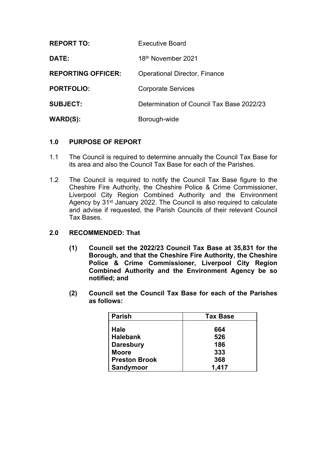| <b>REPORT TO:</b>         | Executive Board                           |
|---------------------------|-------------------------------------------|
| <b>DATE:</b>              | 18 <sup>th</sup> November 2021            |
| <b>REPORTING OFFICER:</b> | <b>Operational Director, Finance</b>      |
| <b>PORTFOLIO:</b>         | <b>Corporate Services</b>                 |
| <b>SUBJECT:</b>           | Determination of Council Tax Base 2022/23 |
| WARD(S):                  | Borough-wide                              |

# **1.0 PURPOSE OF REPORT**

- 1.1 The Council is required to determine annually the Council Tax Base for its area and also the Council Tax Base for each of the Parishes.
- 1.2 The Council is required to notify the Council Tax Base figure to the Cheshire Fire Authority, the Cheshire Police & Crime Commissioner, Liverpool City Region Combined Authority and the Environment Agency by 31<sup>st</sup> January 2022. The Council is also required to calculate and advise if requested, the Parish Councils of their relevant Council Tax Bases.
- **2.0 RECOMMENDED: That**
	- **(1) Council set the 2022/23 Council Tax Base at 35,831 for the Borough, and that the Cheshire Fire Authority, the Cheshire Police & Crime Commissioner, Liverpool City Region Combined Authority and the Environment Agency be so notified; and**
	- **(2) Council set the Council Tax Base for each of the Parishes as follows:**

| <b>Parish</b>        | <b>Tax Base</b> |  |
|----------------------|-----------------|--|
|                      |                 |  |
| <b>Hale</b>          | 664             |  |
| <b>Halebank</b>      | 526             |  |
| <b>Daresbury</b>     | 186             |  |
| <b>Moore</b>         | 333             |  |
| <b>Preston Brook</b> | 368             |  |
| Sandymoor            | 1,417           |  |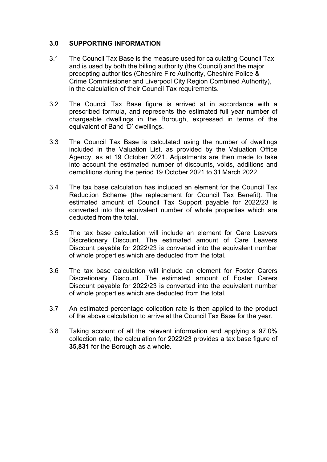## **3.0 SUPPORTING INFORMATION**

- 3.1 The Council Tax Base is the measure used for calculating Council Tax and is used by both the billing authority (the Council) and the major precepting authorities (Cheshire Fire Authority, Cheshire Police & Crime Commissioner and Liverpool City Region Combined Authority), in the calculation of their Council Tax requirements.
- 3.2 The Council Tax Base figure is arrived at in accordance with a prescribed formula, and represents the estimated full year number of chargeable dwellings in the Borough, expressed in terms of the equivalent of Band 'D' dwellings.
- 3.3 The Council Tax Base is calculated using the number of dwellings included in the Valuation List, as provided by the Valuation Office Agency, as at 19 October 2021. Adjustments are then made to take into account the estimated number of discounts, voids, additions and demolitions during the period 19 October 2021 to 31 March 2022.
- 3.4 The tax base calculation has included an element for the Council Tax Reduction Scheme (the replacement for Council Tax Benefit). The estimated amount of Council Tax Support payable for 2022/23 is converted into the equivalent number of whole properties which are deducted from the total.
- 3.5 The tax base calculation will include an element for Care Leavers Discretionary Discount. The estimated amount of Care Leavers Discount payable for 2022/23 is converted into the equivalent number of whole properties which are deducted from the total.
- 3.6 The tax base calculation will include an element for Foster Carers Discretionary Discount. The estimated amount of Foster Carers Discount payable for 2022/23 is converted into the equivalent number of whole properties which are deducted from the total.
- 3.7 An estimated percentage collection rate is then applied to the product of the above calculation to arrive at the Council Tax Base for the year.
- 3.8 Taking account of all the relevant information and applying a 97.0% collection rate, the calculation for 2022/23 provides a tax base figure of **35,831** for the Borough as a whole.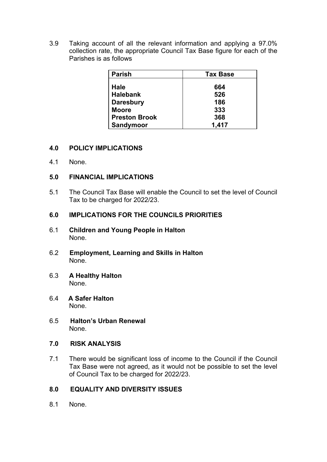3.9 Taking account of all the relevant information and applying a 97.0% collection rate, the appropriate Council Tax Base figure for each of the Parishes is as follows

| ∣ Parish             | <b>Tax Base</b> |  |
|----------------------|-----------------|--|
|                      |                 |  |
| Hale                 | 664             |  |
| Halebank             | 526             |  |
| Daresbury            | 186             |  |
| <b>Moore</b>         | 333             |  |
| <b>Preston Brook</b> | 368             |  |
| Sandymoor            | 1,417           |  |

## **4.0 POLICY IMPLICATIONS**

4.1 None.

### **5.0 FINANCIAL IMPLICATIONS**

5.1 The Council Tax Base will enable the Council to set the level of Council Tax to be charged for 2022/23.

### **6.0 IMPLICATIONS FOR THE COUNCILS PRIORITIES**

- 6.1 **Children and Young People in Halton** None.
- 6.2 **Employment, Learning and Skills in Halton** None.
- 6.3 **A Healthy Halton** None.
- 6.4 **A Safer Halton** None.
- 6.5 **Halton's Urban Renewal** None.

#### **7.0 RISK ANALYSIS**

7.1 There would be significant loss of income to the Council if the Council Tax Base were not agreed, as it would not be possible to set the level of Council Tax to be charged for 2022/23.

### **8.0 EQUALITY AND DIVERSITY ISSUES**

8.1 None.